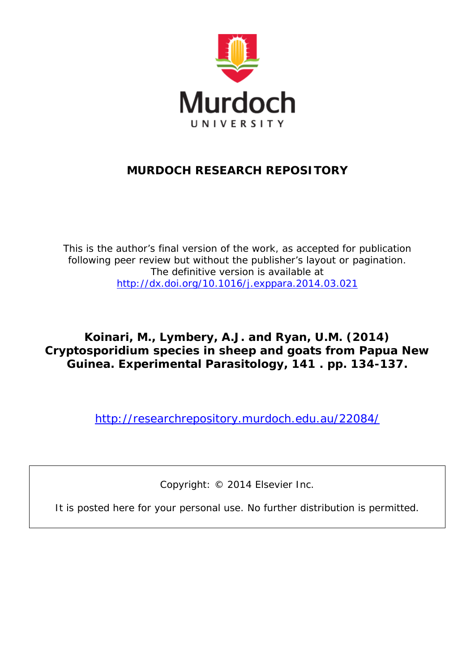

### **MURDOCH RESEARCH REPOSITORY**

*This is the author's final version of the work, as accepted for publication following peer review but without the publisher's layout or pagination. The definitive version is available at <http://dx.doi.org/10.1016/j.exppara.2014.03.021>*

**Koinari, M., Lymbery, A.J. and Ryan, U.M. (2014) Cryptosporidium species in sheep and goats from Papua New Guinea. Experimental Parasitology, 141 . pp. 134-137.**

<http://researchrepository.murdoch.edu.au/22084/>

Copyright: © 2014 Elsevier Inc.

It is posted here for your personal use. No further distribution is permitted.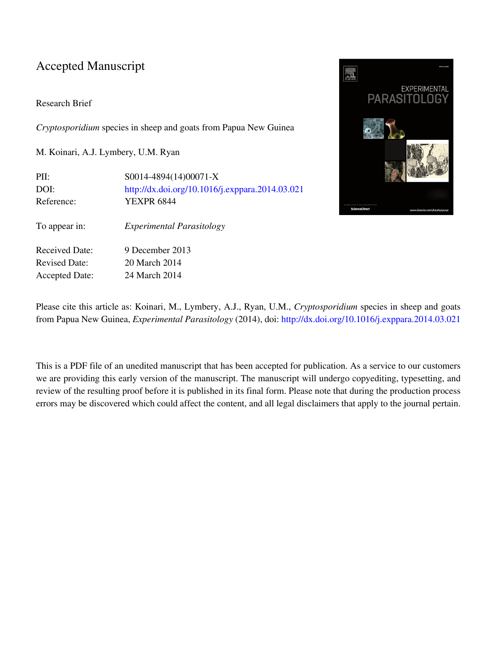### Accepted Manuscript

#### Research Brief

*Cryptosporidium* species in sheep and goats from Papua New Guinea

M. Koinari, A.J. Lymbery, U.M. Ryan

PII: S0014-4894(14)00071-X DOI: <http://dx.doi.org/10.1016/j.exppara.2014.03.021> Reference: YEXPR 6844 To appear in: *Experimental Parasitology* Received Date: 9 December 2013 Revised Date: 20 March 2014 Accepted Date: 24 March 2014



Please cite this article as: Koinari, M., Lymbery, A.J., Ryan, U.M., *Cryptosporidium* species in sheep and goats from Papua New Guinea, *Experimental Parasitology* (2014), doi: [http://dx.doi.org/10.1016/j.exppara.2014.03.021](http://dx.doi.org/http://dx.doi.org/10.1016/j.exppara.2014.03.021)

This is a PDF file of an unedited manuscript that has been accepted for publication. As a service to our customers we are providing this early version of the manuscript. The manuscript will undergo copyediting, typesetting, and review of the resulting proof before it is published in its final form. Please note that during the production process errors may be discovered which could affect the content, and all legal disclaimers that apply to the journal pertain.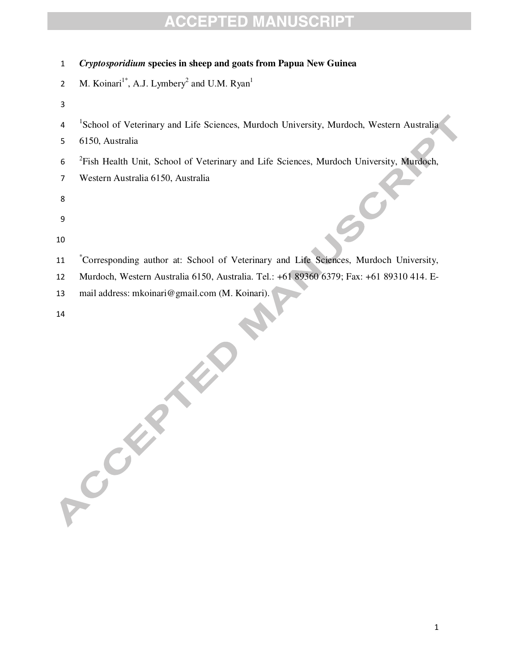| 1  | Cryptosporidium species in sheep and goats from Papua New Guinea                                    |
|----|-----------------------------------------------------------------------------------------------------|
| 2  | M. Koinari <sup>1*</sup> , A.J. Lymbery <sup>2</sup> and U.M. Ryan <sup>1</sup>                     |
| 3  |                                                                                                     |
| 4  | 'School of Veterinary and Life Sciences, Murdoch University, Murdoch, Western Australia             |
| 5  | 6150, Australia                                                                                     |
| 6  | <sup>2</sup> Fish Health Unit, School of Veterinary and Life Sciences, Murdoch University, Murdoch, |
| 7  | Western Australia 6150, Australia                                                                   |
| 8  |                                                                                                     |
| 9  |                                                                                                     |
| 10 |                                                                                                     |
| 11 | Corresponding author at: School of Veterinary and Life Sciences, Murdoch University,                |
| 12 | Murdoch, Western Australia 6150, Australia. Tel.: +61 89360 6379; Fax: +61 89310 414. E-            |
| 13 | mail address: mkoinari@gmail.com (M. Koinari).                                                      |
| 14 |                                                                                                     |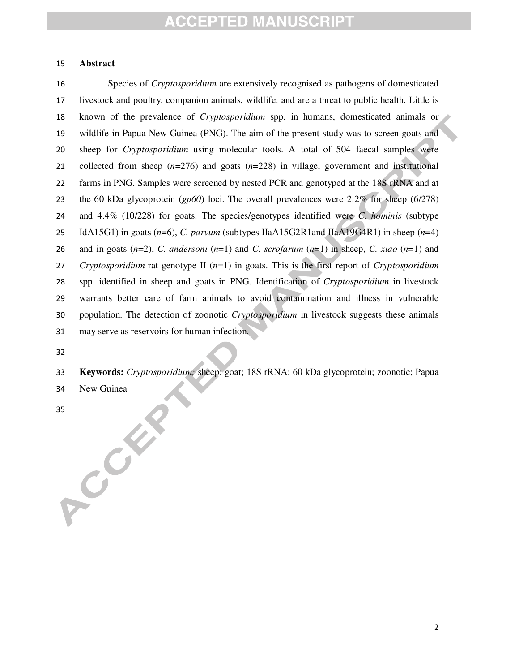#### **Abstract**

Species of *Cryptosporidium* are extensively recognised as pathogens of domesticated livestock and poultry, companion animals, wildlife, and are a threat to public health. Little is known of the prevalence of *Cryptosporidium* spp. in humans, domesticated animals or wildlife in Papua New Guinea (PNG). The aim of the present study was to screen goats and sheep for *Cryptosporidium* using molecular tools. A total of 504 faecal samples were collected from sheep (*n*=276) and goats (*n*=228) in village, government and institutional farms in PNG. Samples were screened by nested PCR and genotyped at the 18S rRNA and at the 60 kDa glycoprotein (*gp60*) loci. The overall prevalences were 2.2% for sheep (6/278) and 4.4% (10/228) for goats. The species/genotypes identified were *C. hominis* (subtype IdA15G1) in goats (*n*=6), *C. parvum* (subtypes IIaA15G2R1and IIaA19G4R1) in sheep (*n*=4) 26 and in goats  $(n=2)$ , *C. andersoni*  $(n=1)$  and *C. scrofarum*  $(n=1)$  in sheep, *C. xiao*  $(n=1)$  and *Cryptosporidium* rat genotype II (*n*=1) in goats. This is the first report of *Cryptosporidium* spp. identified in sheep and goats in PNG. Identification of *Cryptosporidium* in livestock warrants better care of farm animals to avoid contamination and illness in vulnerable population. The detection of zoonotic *Cryptosporidium* in livestock suggests these animals may serve as reservoirs for human infection.

- **Keywords:** *Cryptosporidium;* sheep; goat; 18S rRNA; 60 kDa glycoprotein; zoonotic; Papua
- New Guinea

BS CON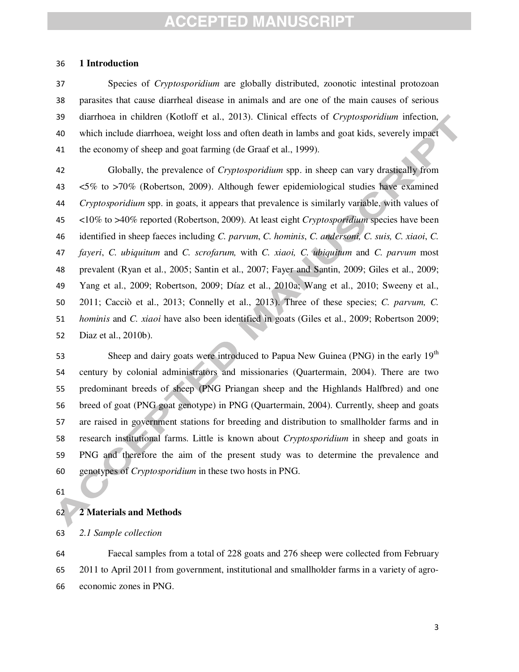#### **1 Introduction**

Species of *Cryptosporidium* are globally distributed, zoonotic intestinal protozoan parasites that cause diarrheal disease in animals and are one of the main causes of serious diarrhoea in children (Kotloff et al., 2013). Clinical effects of *Cryptosporidium* infection, which include diarrhoea, weight loss and often death in lambs and goat kids, severely impact the economy of sheep and goat farming (de Graaf et al., 1999).

Globally, the prevalence of *Cryptosporidium* spp. in sheep can vary drastically from <5% to >70% (Robertson, 2009). Although fewer epidemiological studies have examined *Cryptosporidium* spp. in goats, it appears that prevalence is similarly variable, with values of <10% to >40% reported (Robertson, 2009). At least eight *Cryptosporidium* species have been identified in sheep faeces including *C. parvum*, *C. hominis*, *C. andersoni, C. suis, C. xiaoi*, *C. fayeri*, *C. ubiquitum* and *C. scrofarum,* with *C. xiaoi, C. ubiquitum* and *C. parvum* most prevalent (Ryan et al., 2005; Santin et al., 2007; Fayer and Santin, 2009; Giles et al., 2009; Yang et al., 2009; Robertson, 2009; Díaz et al., 2010a; Wang et al., 2010; Sweeny et al., 2011; Cacciò et al., 2013; Connelly et al., 2013). Three of these species; *C. parvum, C. hominis* and *C. xiaoi* have also been identified in goats (Giles et al., 2009; Robertson 2009; Diaz et al., 2010b).

Sheep and dairy goats were introduced to Papua New Guinea (PNG) in the early 19<sup>th</sup> century by colonial administrators and missionaries (Quartermain, 2004). There are two predominant breeds of sheep (PNG Priangan sheep and the Highlands Halfbred) and one breed of goat (PNG goat genotype) in PNG (Quartermain, 2004). Currently, sheep and goats are raised in government stations for breeding and distribution to smallholder farms and in research institutional farms. Little is known about *Cryptosporidium* in sheep and goats in PNG and therefore the aim of the present study was to determine the prevalence and genotypes of *Cryptosporidium* in these two hosts in PNG.

#### **2 Materials and Methods**

*2.1 Sample collection* 

Faecal samples from a total of 228 goats and 276 sheep were collected from February 2011 to April 2011 from government, institutional and smallholder farms in a variety of agro-economic zones in PNG.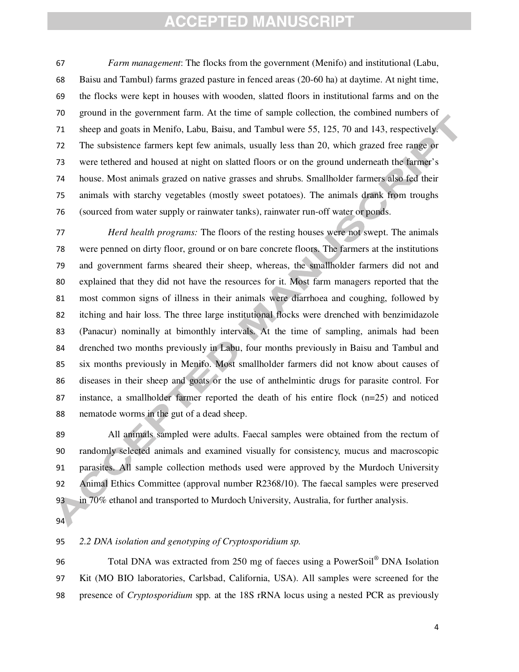*Farm management*: The flocks from the government (Menifo) and institutional (Labu, Baisu and Tambul) farms grazed pasture in fenced areas (20-60 ha) at daytime. At night time, the flocks were kept in houses with wooden, slatted floors in institutional farms and on the ground in the government farm. At the time of sample collection, the combined numbers of sheep and goats in Menifo, Labu, Baisu, and Tambul were 55, 125, 70 and 143, respectively. The subsistence farmers kept few animals, usually less than 20, which grazed free range or were tethered and housed at night on slatted floors or on the ground underneath the farmer's house. Most animals grazed on native grasses and shrubs. Smallholder farmers also fed their animals with starchy vegetables (mostly sweet potatoes). The animals drank from troughs (sourced from water supply or rainwater tanks), rainwater run-off water or ponds.

*Herd health programs:* The floors of the resting houses were not swept. The animals were penned on dirty floor, ground or on bare concrete floors. The farmers at the institutions and government farms sheared their sheep, whereas, the smallholder farmers did not and explained that they did not have the resources for it. Most farm managers reported that the most common signs of illness in their animals were diarrhoea and coughing, followed by itching and hair loss. The three large institutional flocks were drenched with benzimidazole (Panacur) nominally at bimonthly intervals. At the time of sampling, animals had been drenched two months previously in Labu, four months previously in Baisu and Tambul and six months previously in Menifo. Most smallholder farmers did not know about causes of diseases in their sheep and goats or the use of anthelmintic drugs for parasite control. For instance, a smallholder farmer reported the death of his entire flock (n=25) and noticed nematode worms in the gut of a dead sheep.

All animals sampled were adults. Faecal samples were obtained from the rectum of randomly selected animals and examined visually for consistency, mucus and macroscopic parasites. All sample collection methods used were approved by the Murdoch University Animal Ethics Committee (approval number R2368/10). The faecal samples were preserved in 70% ethanol and transported to Murdoch University, Australia, for further analysis.

#### *2.2 DNA isolation and genotyping of Cryptosporidium sp.*

96 Total DNA was extracted from 250 mg of faeces using a PowerSoil® DNA Isolation Kit (MO BIO laboratories, Carlsbad, California, USA). All samples were screened for the presence of *Cryptosporidium* spp*.* at the 18S rRNA locus using a nested PCR as previously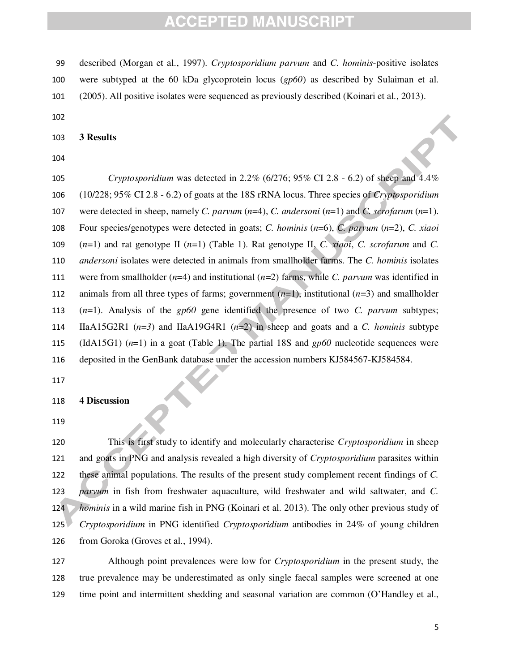described (Morgan et al., 1997). *Cryptosporidium parvum* and *C. hominis*-positive isolates

- were subtyped at the 60 kDa glycoprotein locus (*gp60*) as described by Sulaiman et al.
- (2005). All positive isolates were sequenced as previously described (Koinari et al., 2013).
- 

**3 Results** 

*Cryptosporidium* was detected in 2.2% (6/276; 95% CI 2.8 - 6.2) of sheep and 4.4% (10/228; 95% CI 2.8 - 6.2) of goats at the 18S rRNA locus. Three species of *Cryptosporidium* were detected in sheep, namely *C. parvum* (*n*=4), *C. andersoni* (*n*=1) and *C. scrofarum* (*n*=1). Four species/genotypes were detected in goats; *C. hominis* (*n*=6), *C. parvum* (*n*=2), *C. xiaoi*  (*n*=1) and rat genotype II (*n*=1) (Table 1). Rat genotype II, *C. xiaoi*, *C. scrofarum* and *C. andersoni* isolates were detected in animals from smallholder farms. The *C. hominis* isolates were from smallholder (*n*=4) and institutional (*n*=2) farms, while *C. parvum* was identified in animals from all three types of farms; government (*n*=1), institutional (*n*=3) and smallholder (*n*=1). Analysis of the *gp60* gene identified the presence of two *C. parvum* subtypes; IIaA15G2R1 (*n*=*3*) and IIaA19G4R1 (*n*=2) in sheep and goats and a *C. hominis* subtype (IdA15G1) (*n*=1) in a goat (Table 1). The partial 18S and *gp60* nucleotide sequences were deposited in the GenBank database under the accession numbers KJ584567-KJ584584.

#### **4 Discussion**

This is first study to identify and molecularly characterise *Cryptosporidium* in sheep and goats in PNG and analysis revealed a high diversity of *Cryptosporidium* parasites within these animal populations. The results of the present study complement recent findings of *C. parvum* in fish from freshwater aquaculture, wild freshwater and wild saltwater, and *C. hominis* in a wild marine fish in PNG (Koinari et al. 2013). The only other previous study of *Cryptosporidium* in PNG identified *Cryptosporidium* antibodies in 24% of young children from Goroka (Groves et al., 1994).

Although point prevalences were low for *Cryptosporidium* in the present study, the true prevalence may be underestimated as only single faecal samples were screened at one time point and intermittent shedding and seasonal variation are common (O'Handley et al.,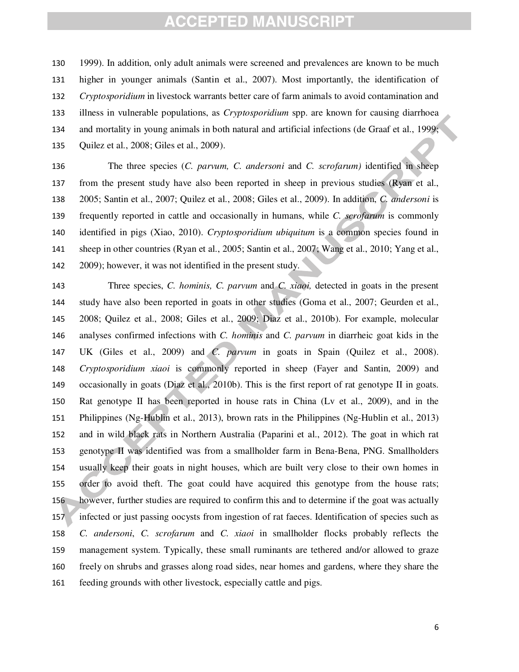1999). In addition, only adult animals were screened and prevalences are known to be much higher in younger animals (Santin et al., 2007). Most importantly, the identification of *Cryptosporidium* in livestock warrants better care of farm animals to avoid contamination and illness in vulnerable populations, as *Cryptosporidium* spp. are known for causing diarrhoea and mortality in young animals in both natural and artificial infections (de Graaf et al., 1999; Quilez et al., 2008; Giles et al., 2009).

The three species (*C. parvum, C. andersoni* and *C. scrofarum)* identified in sheep from the present study have also been reported in sheep in previous studies (Ryan et al., 2005; Santin et al., 2007; Quilez et al., 2008; Giles et al., 2009). In addition, *C. andersoni* is frequently reported in cattle and occasionally in humans, while *C. scrofarum* is commonly identified in pigs (Xiao, 2010). *Cryptosporidium ubiquitum* is a common species found in sheep in other countries (Ryan et al., 2005; Santin et al., 2007; Wang et al., 2010; Yang et al., 2009); however, it was not identified in the present study.

Three species, *C. hominis, C. parvum* and *C. xiaoi,* detected in goats in the present study have also been reported in goats in other studies (Goma et al., 2007; Geurden et al., 2008; Quilez et al., 2008; Giles et al., 2009; Diaz et al., 2010b). For example, molecular analyses confirmed infections with *C. hominis* and *C. parvum* in diarrheic goat kids in the UK (Giles et al., 2009) and *C. parvum* in goats in Spain (Quilez et al., 2008). *Cryptosporidium xiaoi* is commonly reported in sheep (Fayer and Santin, 2009) and occasionally in goats (Diaz et al., 2010b). This is the first report of rat genotype II in goats. Rat genotype II has been reported in house rats in China (Lv et al., 2009), and in the Philippines (Ng-Hublin et al., 2013), brown rats in the Philippines (Ng-Hublin et al., 2013) and in wild black rats in Northern Australia (Paparini et al., 2012). The goat in which rat genotype II was identified was from a smallholder farm in Bena-Bena, PNG. Smallholders usually keep their goats in night houses, which are built very close to their own homes in order to avoid theft. The goat could have acquired this genotype from the house rats; however, further studies are required to confirm this and to determine if the goat was actually infected or just passing oocysts from ingestion of rat faeces. Identification of species such as *C. andersoni*, *C. scrofarum* and *C. xiaoi* in smallholder flocks probably reflects the management system. Typically, these small ruminants are tethered and/or allowed to graze freely on shrubs and grasses along road sides, near homes and gardens, where they share the feeding grounds with other livestock, especially cattle and pigs.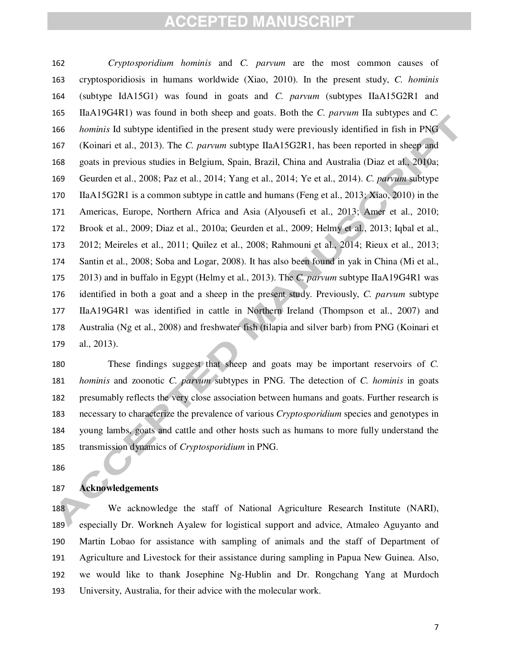*Cryptosporidium hominis* and *C. parvum* are the most common causes of cryptosporidiosis in humans worldwide (Xiao, 2010). In the present study, *C. hominis* (subtype IdA15G1) was found in goats and *C. parvum* (subtypes IIaA15G2R1 and IIaA19G4R1) was found in both sheep and goats. Both the *C. parvum* IIa subtypes and *C. hominis* Id subtype identified in the present study were previously identified in fish in PNG (Koinari et al., 2013). The *C. parvum* subtype IIaA15G2R1, has been reported in sheep and goats in previous studies in Belgium, Spain, Brazil, China and Australia (Diaz et al., 2010a; Geurden et al., 2008; Paz et al., 2014; Yang et al., 2014; Ye et al., 2014). *C. parvum* subtype IIaA15G2R1 is a common subtype in cattle and humans (Feng et al., 2013; Xiao, 2010) in the Americas, Europe, Northern Africa and Asia (Alyousefi et al., 2013; Amer et al., 2010; Brook et al., 2009; Diaz et al., 2010a; Geurden et al., 2009; Helmy et al., 2013; Iqbal et al., 2012; Meireles et al., 2011; Quilez et al., 2008; Rahmouni et al., 2014; Rieux et al., 2013; Santin et al., 2008; Soba and Logar, 2008). It has also been found in yak in China (Mi et al., 2013) and in buffalo in Egypt (Helmy et al., 2013). The *C. parvum* subtype IIaA19G4R1 was identified in both a goat and a sheep in the present study. Previously, *C. parvum* subtype IIaA19G4R1 was identified in cattle in Northern Ireland (Thompson et al., 2007) and Australia (Ng et al., 2008) and freshwater fish (tilapia and silver barb) from PNG (Koinari et al., 2013).

These findings suggest that sheep and goats may be important reservoirs of *C. hominis* and zoonotic *C. parvum* subtypes in PNG. The detection of *C. hominis* in goats presumably reflects the very close association between humans and goats. Further research is necessary to characterize the prevalence of various *Cryptosporidium* species and genotypes in young lambs, goats and cattle and other hosts such as humans to more fully understand the transmission dynamics of *Cryptosporidium* in PNG.

#### **Acknowledgements**

188 We acknowledge the staff of National Agriculture Research Institute (NARI), especially Dr. Workneh Ayalew for logistical support and advice, Atmaleo Aguyanto and Martin Lobao for assistance with sampling of animals and the staff of Department of Agriculture and Livestock for their assistance during sampling in Papua New Guinea. Also, we would like to thank Josephine Ng-Hublin and Dr. Rongchang Yang at Murdoch University, Australia, for their advice with the molecular work.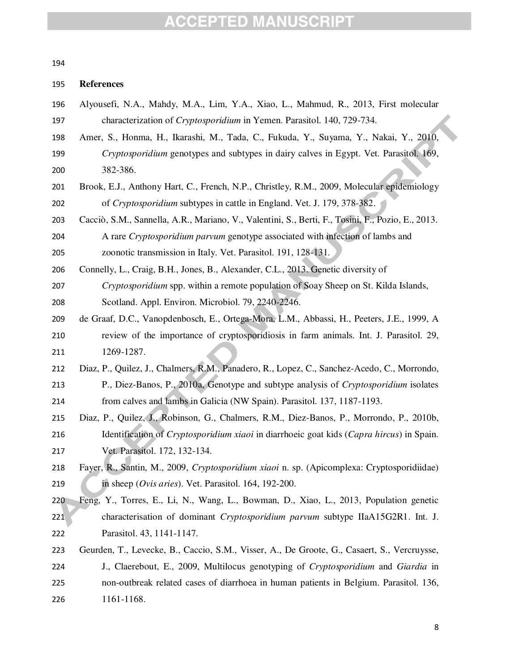#### 

#### **References**

| 196 | Alyousefi, N.A., Mahdy, M.A., Lim, Y.A., Xiao, L., Mahmud, R., 2013, First molecular |
|-----|--------------------------------------------------------------------------------------|
| 197 | characterization of <i>Cryptosporidium</i> in Yemen. Parasitol. 140, 729-734.        |

- Amer, S., Honma, H., Ikarashi, M., Tada, C., Fukuda, Y., Suyama, Y., Nakai, Y., 2010,
- *Cryptosporidium* genotypes and subtypes in dairy calves in Egypt. Vet. Parasitol. 169, 382-386.
- Brook, E.J., Anthony Hart, C., French, N.P., Christley, R.M., 2009, Molecular epidemiology of *Cryptosporidium* subtypes in cattle in England. Vet. J. 179, 378-382.
- Cacciò, S.M., Sannella, A.R., Mariano, V., Valentini, S., Berti, F., Tosini, F., Pozio, E., 2013.
- A rare *Cryptosporidium parvum* genotype associated with infection of lambs and zoonotic transmission in Italy. Vet. Parasitol. 191, 128-131.
- Connelly, L., Craig, B.H., Jones, B., Alexander, C.L., 2013. Genetic diversity of *Cryptosporidium* spp. within a remote population of Soay Sheep on St. Kilda Islands,
- Scotland. Appl. Environ. Microbiol. 79, 2240-2246.
- de Graaf, D.C., Vanopdenbosch, E., Ortega-Mora, L.M., Abbassi, H., Peeters, J.E., 1999, A review of the importance of cryptosporidiosis in farm animals. Int. J. Parasitol. 29, 1269-1287.
- Diaz, P., Quilez, J., Chalmers, R.M., Panadero, R., Lopez, C., Sanchez-Acedo, C., Morrondo, P., Diez-Banos, P., 2010a, Genotype and subtype analysis of *Cryptosporidium* isolates from calves and lambs in Galicia (NW Spain). Parasitol. 137, 1187-1193.
- Diaz, P., Quilez, J., Robinson, G., Chalmers, R.M., Diez-Banos, P., Morrondo, P., 2010b, Identification of *Cryptosporidium xiaoi* in diarrhoeic goat kids (*Capra hircus*) in Spain. Vet. Parasitol. 172, 132-134.
- Fayer, R., Santin, M., 2009, *Cryptosporidium xiaoi* n. sp. (Apicomplexa: Cryptosporidiidae) in sheep (*Ovis aries*). Vet. Parasitol. 164, 192-200.
- Feng, Y., Torres, E., Li, N., Wang, L., Bowman, D., Xiao, L., 2013, Population genetic characterisation of dominant *Cryptosporidium parvum* subtype IIaA15G2R1. Int. J. Parasitol. 43, 1141-1147.
- Geurden, T., Levecke, B., Caccio, S.M., Visser, A., De Groote, G., Casaert, S., Vercruysse, J., Claerebout, E., 2009, Multilocus genotyping of *Cryptosporidium* and *Giardia* in non-outbreak related cases of diarrhoea in human patients in Belgium. Parasitol. 136, 1161-1168.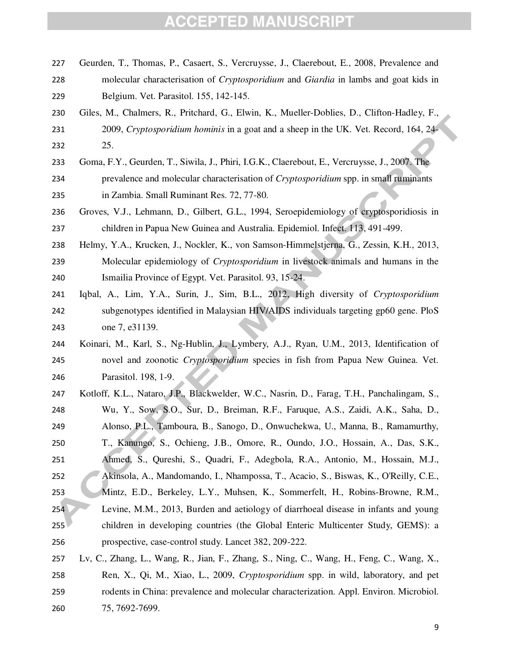- Geurden, T., Thomas, P., Casaert, S., Vercruysse, J., Claerebout, E., 2008, Prevalence and molecular characterisation of *Cryptosporidium* and *Giardia* in lambs and goat kids in Belgium. Vet. Parasitol. 155, 142-145.
- Giles, M., Chalmers, R., Pritchard, G., Elwin, K., Mueller-Doblies, D., Clifton-Hadley, F., 2009, *Cryptosporidium hominis* in a goat and a sheep in the UK. Vet. Record, 164, 24- 25.
- Goma, F.Y., Geurden, T., Siwila, J., Phiri, I.G.K., Claerebout, E., Vercruysse, J., 2007. The prevalence and molecular characterisation of *Cryptosporidium* spp. in small ruminants in Zambia. Small Ruminant Res. 72, 77-80.
- Groves, V.J., Lehmann, D., Gilbert, G.L., 1994, Seroepidemiology of cryptosporidiosis in children in Papua New Guinea and Australia. Epidemiol. Infect. 113, 491-499.
- Helmy, Y.A., Krucken, J., Nockler, K., von Samson-Himmelstjerna, G., Zessin, K.H., 2013, Molecular epidemiology of *Cryptosporidium* in livestock animals and humans in the Ismailia Province of Egypt. Vet. Parasitol. 93, 15-24.
- Iqbal, A., Lim, Y.A., Surin, J., Sim, B.L., 2012, High diversity of *Cryptosporidium* subgenotypes identified in Malaysian HIV/AIDS individuals targeting gp60 gene. PloS one 7, e31139.
- Koinari, M., Karl, S., Ng-Hublin, J., Lymbery, A.J., Ryan, U.M., 2013, Identification of novel and zoonotic *Cryptosporidium* species in fish from Papua New Guinea. Vet. Parasitol. 198, 1-9.
- Kotloff, K.L., Nataro, J.P., Blackwelder, W.C., Nasrin, D., Farag, T.H., Panchalingam, S., Wu, Y., Sow, S.O., Sur, D., Breiman, R.F., Faruque, A.S., Zaidi, A.K., Saha, D., Alonso, P.L., Tamboura, B., Sanogo, D., Onwuchekwa, U., Manna, B., Ramamurthy, T., Kanungo, S., Ochieng, J.B., Omore, R., Oundo, J.O., Hossain, A., Das, S.K., Ahmed, S., Qureshi, S., Quadri, F., Adegbola, R.A., Antonio, M., Hossain, M.J., Akinsola, A., Mandomando, I., Nhampossa, T., Acacio, S., Biswas, K., O'Reilly, C.E., Mintz, E.D., Berkeley, L.Y., Muhsen, K., Sommerfelt, H., Robins-Browne, R.M., Levine, M.M., 2013, Burden and aetiology of diarrhoeal disease in infants and young children in developing countries (the Global Enteric Multicenter Study, GEMS): a prospective, case-control study. Lancet 382, 209-222.
- Lv, C., Zhang, L., Wang, R., Jian, F., Zhang, S., Ning, C., Wang, H., Feng, C., Wang, X., Ren, X., Qi, M., Xiao, L., 2009, *Cryptosporidium* spp. in wild, laboratory, and pet rodents in China: prevalence and molecular characterization. Appl. Environ. Microbiol. 75, 7692-7699.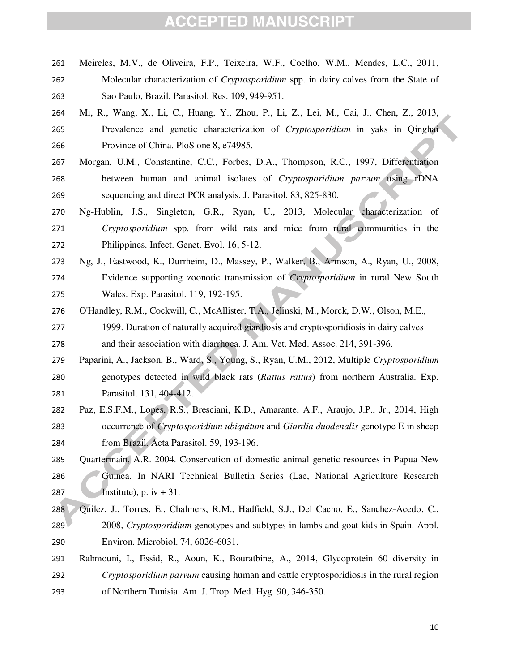- Meireles, M.V., de Oliveira, F.P., Teixeira, W.F., Coelho, W.M., Mendes, L.C., 2011, Molecular characterization of *Cryptosporidium* spp. in dairy calves from the State of Sao Paulo, Brazil. Parasitol. Res. 109, 949-951.
- Mi, R., Wang, X., Li, C., Huang, Y., Zhou, P., Li, Z., Lei, M., Cai, J., Chen, Z., 2013, Prevalence and genetic characterization of *Cryptosporidium* in yaks in Qinghai Province of China. PloS one 8, e74985.
- Morgan, U.M., Constantine, C.C., Forbes, D.A., Thompson, R.C., 1997, Differentiation between human and animal isolates of *Cryptosporidium parvum* using rDNA sequencing and direct PCR analysis. J. Parasitol. 83, 825-830.
- Ng-Hublin, J.S., Singleton, G.R., Ryan, U., 2013, Molecular characterization of *Cryptosporidium* spp. from wild rats and mice from rural communities in the Philippines. Infect. Genet. Evol. 16, 5-12.
- Ng, J., Eastwood, K., Durrheim, D., Massey, P., Walker, B., Armson, A., Ryan, U., 2008, Evidence supporting zoonotic transmission of *Cryptosporidium* in rural New South Wales. Exp. Parasitol. 119, 192-195.
- O'Handley, R.M., Cockwill, C., McAllister, T.A., Jelinski, M., Morck, D.W., Olson, M.E.,
- 1999. Duration of naturally acquired giardiosis and cryptosporidiosis in dairy calves and their association with diarrhoea. J. Am. Vet. Med. Assoc. 214, 391-396.
- Paparini, A., Jackson, B., Ward, S., Young, S., Ryan, U.M., 2012, Multiple *Cryptosporidium* genotypes detected in wild black rats (*Rattus rattus*) from northern Australia. Exp. Parasitol. 131, 404-412.
- Paz, E.S.F.M., Lopes, R.S., Bresciani, K.D., Amarante, A.F., Araujo, J.P., Jr., 2014, High occurrence of *Cryptosporidium ubiquitum* and *Giardia duodenalis* genotype E in sheep from Brazil. Acta Parasitol. 59, 193-196.
- Quartermain, A.R. 2004. Conservation of domestic animal genetic resources in Papua New Guinea. In NARI Technical Bulletin Series (Lae, National Agriculture Research 287 Institute), p. iv  $+31$ .
- Quilez, J., Torres, E., Chalmers, R.M., Hadfield, S.J., Del Cacho, E., Sanchez-Acedo, C., 2008, *Cryptosporidium* genotypes and subtypes in lambs and goat kids in Spain. Appl. Environ. Microbiol. 74, 6026-6031.
- Rahmouni, I., Essid, R., Aoun, K., Bouratbine, A., 2014, Glycoprotein 60 diversity in *Cryptosporidium parvum* causing human and cattle cryptosporidiosis in the rural region of Northern Tunisia. Am. J. Trop. Med. Hyg. 90, 346-350.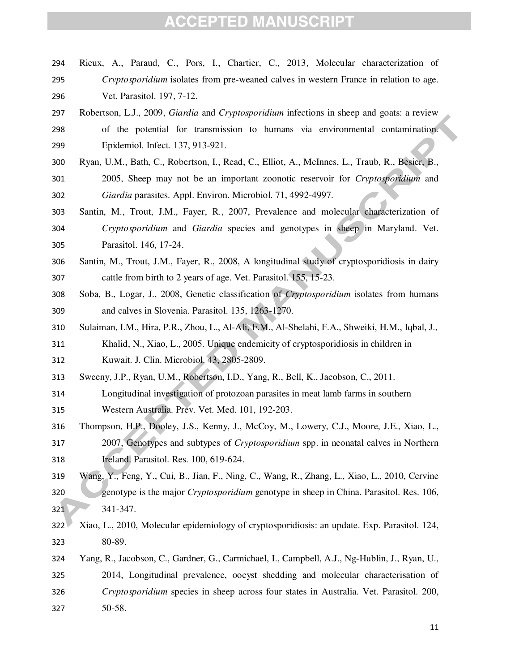- Rieux, A., Paraud, C., Pors, I., Chartier, C., 2013, Molecular characterization of *Cryptosporidium* isolates from pre-weaned calves in western France in relation to age. Vet. Parasitol. 197, 7-12.
- Robertson, L.J., 2009, *Giardia* and *Cryptosporidium* infections in sheep and goats: a review of the potential for transmission to humans via environmental contamination. Epidemiol. Infect. 137, 913-921.
- Ryan, U.M., Bath, C., Robertson, I., Read, C., Elliot, A., McInnes, L., Traub, R., Besier, B., 2005, Sheep may not be an important zoonotic reservoir for *Cryptosporidium* and *Giardia* parasites. Appl. Environ. Microbiol. 71, 4992-4997.
- Santin, M., Trout, J.M., Fayer, R., 2007, Prevalence and molecular characterization of *Cryptosporidium* and *Giardia* species and genotypes in sheep in Maryland. Vet. Parasitol. 146, 17-24.
- Santin, M., Trout, J.M., Fayer, R., 2008, A longitudinal study of cryptosporidiosis in dairy cattle from birth to 2 years of age. Vet. Parasitol. 155, 15-23.
- Soba, B., Logar, J., 2008, Genetic classification of *Cryptosporidium* isolates from humans and calves in Slovenia. Parasitol. 135, 1263-1270.
- Sulaiman, I.M., Hira, P.R., Zhou, L., Al-Ali, F.M., Al-Shelahi, F.A., Shweiki, H.M., Iqbal, J.,
- Khalid, N., Xiao, L., 2005. Unique endemicity of cryptosporidiosis in children in Kuwait. J. Clin. Microbiol. 43, 2805-2809.
- Sweeny, J.P., Ryan, U.M., Robertson, I.D., Yang, R., Bell, K., Jacobson, C., 2011.
- Longitudinal investigation of protozoan parasites in meat lamb farms in southern Western Australia. Prev. Vet. Med. 101, 192-203.
- Thompson, H.P., Dooley, J.S., Kenny, J., McCoy, M., Lowery, C.J., Moore, J.E., Xiao, L., 2007, Genotypes and subtypes of *Cryptosporidium* spp. in neonatal calves in Northern Ireland. Parasitol. Res. 100, 619-624.
- Wang, Y., Feng, Y., Cui, B., Jian, F., Ning, C., Wang, R., Zhang, L., Xiao, L., 2010, Cervine genotype is the major *Cryptosporidium* genotype in sheep in China. Parasitol. Res. 106, 321 341-347.
- Xiao, L., 2010, Molecular epidemiology of cryptosporidiosis: an update. Exp. Parasitol. 124, 80-89.
- Yang, R., Jacobson, C., Gardner, G., Carmichael, I., Campbell, A.J., Ng-Hublin, J., Ryan, U., 2014, Longitudinal prevalence, oocyst shedding and molecular characterisation of *Cryptosporidium* species in sheep across four states in Australia. Vet. Parasitol. 200, 50-58.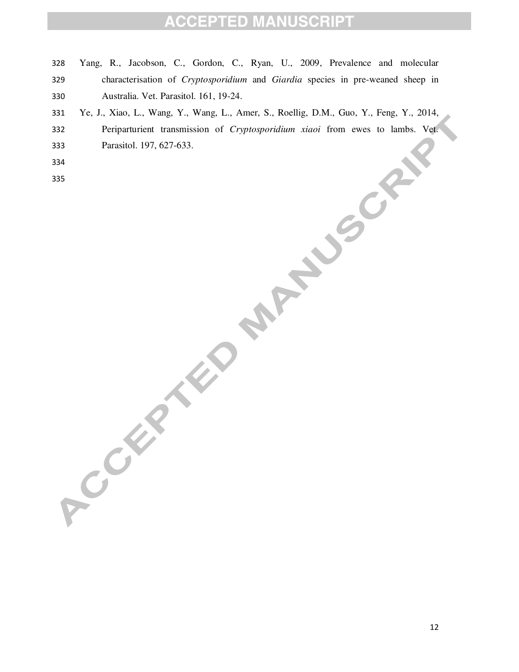- Yang, R., Jacobson, C., Gordon, C., Ryan, U., 2009, Prevalence and molecular characterisation of *Cryptosporidium* and *Giardia* species in pre-weaned sheep in Australia. Vet. Parasitol. 161, 19-24.
- Ye, J., Xiao, L., Wang, Y., Wang, L., Amer, S., Roellig, D.M., Guo, Y., Feng, Y., 2014,
- Periparturient transmission of *Cryptosporidium xiaoi* from ewes to lambs. Vet. Parasitol. 197, 627-633.
- 
-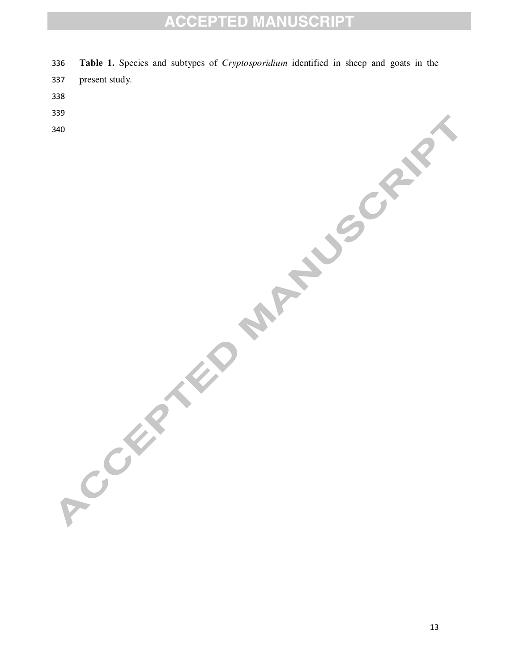- **Table 1.** Species and subtypes of *Cryptosporidium* identified in sheep and goats in the
- present study.
- 
- 
-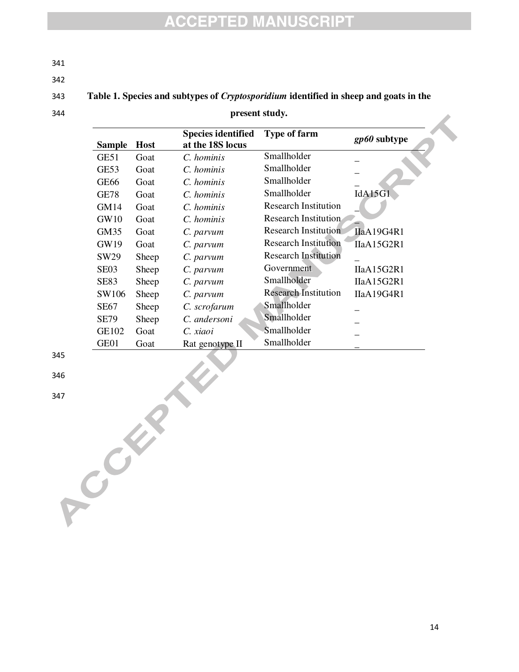341

342

#### 343 **Table 1. Species and subtypes of** *Cryptosporidium* **identified in sheep and goats in the**

### 344 **present study.**

| Sample           | <b>Host</b> | <b>Species identified</b><br>at the 18S locus | <b>Type of farm</b>         | gp60 subtype |
|------------------|-------------|-----------------------------------------------|-----------------------------|--------------|
| GE51             | Goat        | C. hominis                                    | Smallholder                 |              |
| GE53             | Goat        | C. hominis                                    | Smallholder                 |              |
| GE <sub>66</sub> | Goat        | C. hominis                                    | Smallholder                 |              |
| <b>GE78</b>      | Goat        | C. hominis                                    | Smallholder                 | IdA15G1      |
| <b>GM14</b>      | Goat        | C. hominis                                    | <b>Research Institution</b> |              |
| GW10             | Goat        | C. hominis                                    | Research Institution        |              |
| GM35             | Goat        | C. parvum                                     | <b>Research Institution</b> | IIaA19G4R1   |
| GW19             | Goat        | C. parvum                                     | <b>Research Institution</b> | IIaA15G2R1   |
| SW <sub>29</sub> | Sheep       | C. parvum                                     | <b>Research Institution</b> |              |
| SE <sub>03</sub> | Sheep       | C. parvum                                     | Government                  | IIaA15G2R1   |
| <b>SE83</b>      | Sheep       | C. parvum                                     | Smallholder                 | IIaA15G2R1   |
| SW106            | Sheep       | C. parvum                                     | <b>Research Institution</b> | IIaA19G4R1   |
| <b>SE67</b>      | Sheep       | C. scrofarum                                  | Smallholder                 |              |
| <b>SE79</b>      | Sheep       | C. andersoni                                  | Smallholder                 |              |
| GE102            | Goat        | C. xiaoi                                      | Smallholder                 |              |
| GE01             | Goat        | Rat genotype II                               | Smallholder                 |              |

345

346

347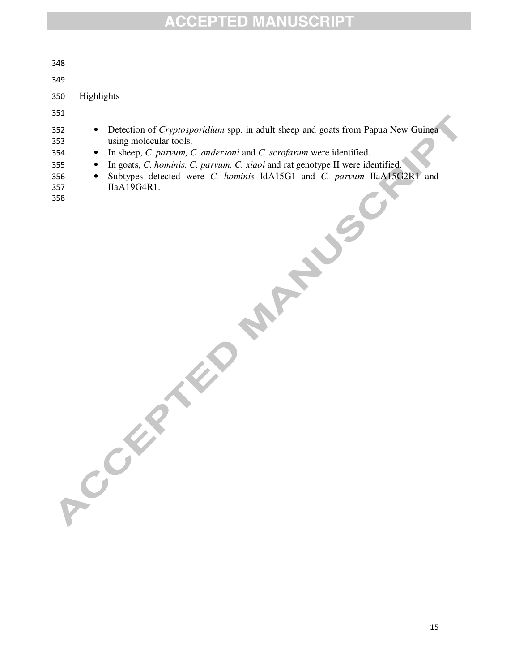| 348                                           |                                                                                                                                                                                                                                                                                                                                                                                      |
|-----------------------------------------------|--------------------------------------------------------------------------------------------------------------------------------------------------------------------------------------------------------------------------------------------------------------------------------------------------------------------------------------------------------------------------------------|
| 349                                           |                                                                                                                                                                                                                                                                                                                                                                                      |
| 350                                           | Highlights                                                                                                                                                                                                                                                                                                                                                                           |
| 351                                           |                                                                                                                                                                                                                                                                                                                                                                                      |
| 352<br>353<br>354<br>355<br>356<br>357<br>358 | Detection of <i>Cryptosporidium</i> spp. in adult sheep and goats from Papua New Guinea<br>using molecular tools.<br>In sheep, C. parvum, C. andersoni and C. scrofarum were identified.<br>In goats, C. hominis, C. parvum, C. xiaoi and rat genotype II were identified.<br>Subtypes detected were <i>C. hominis</i> IdA15G1 and <i>C. parvum</i> IIaA15G2R1<br>and<br>IIaA19G4R1. |